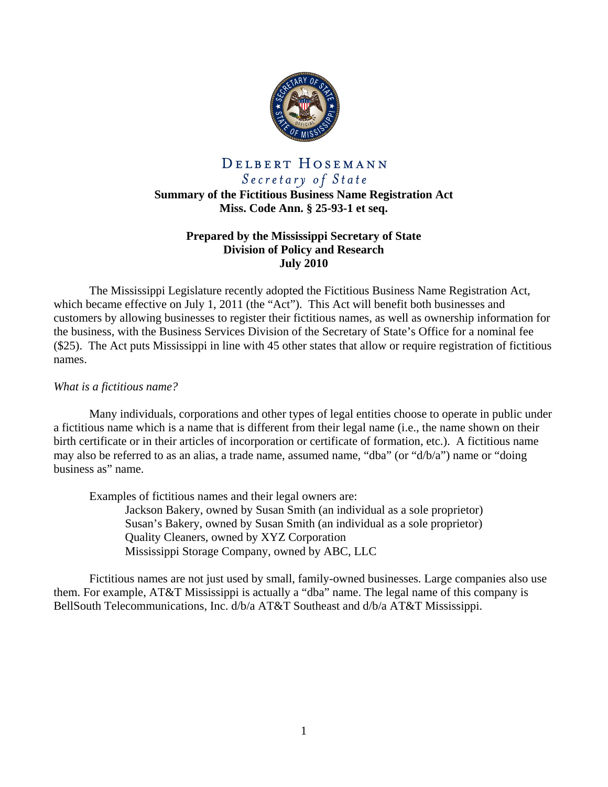

# DELBERT HOSEMANN Secretary of State

**Summary of the Fictitious Business Name Registration Act Miss. Code Ann. § 25-93-1 et seq.** 

# **Prepared by the Mississippi Secretary of State Division of Policy and Research July 2010**

 The Mississippi Legislature recently adopted the Fictitious Business Name Registration Act, which became effective on July 1, 2011 (the "Act"). This Act will benefit both businesses and customers by allowing businesses to register their fictitious names, as well as ownership information for the business, with the Business Services Division of the Secretary of State's Office for a nominal fee (\$25). The Act puts Mississippi in line with 45 other states that allow or require registration of fictitious names.

# *What is a fictitious name?*

Many individuals, corporations and other types of legal entities choose to operate in public under a fictitious name which is a name that is different from their legal name (i.e., the name shown on their birth certificate or in their articles of incorporation or certificate of formation, etc.). A fictitious name may also be referred to as an alias, a trade name, assumed name, "dba" (or "d/b/a") name or "doing business as" name.

Examples of fictitious names and their legal owners are:

 Jackson Bakery, owned by Susan Smith (an individual as a sole proprietor) Susan's Bakery, owned by Susan Smith (an individual as a sole proprietor) Quality Cleaners, owned by XYZ Corporation Mississippi Storage Company, owned by ABC, LLC

Fictitious names are not just used by small, family-owned businesses. Large companies also use them. For example, AT&T Mississippi is actually a "dba" name. The legal name of this company is BellSouth Telecommunications, Inc. d/b/a AT&T Southeast and d/b/a AT&T Mississippi.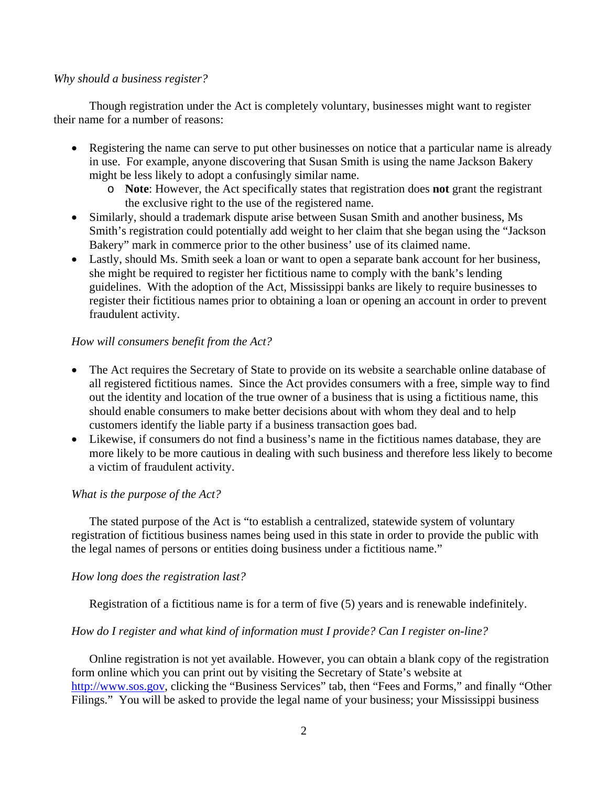#### *Why should a business register?*

 Though registration under the Act is completely voluntary, businesses might want to register their name for a number of reasons:

- Registering the name can serve to put other businesses on notice that a particular name is already in use. For example, anyone discovering that Susan Smith is using the name Jackson Bakery might be less likely to adopt a confusingly similar name.
	- o **Note**: However, the Act specifically states that registration does **not** grant the registrant the exclusive right to the use of the registered name.
- Similarly, should a trademark dispute arise between Susan Smith and another business, Ms Smith's registration could potentially add weight to her claim that she began using the "Jackson Bakery" mark in commerce prior to the other business' use of its claimed name.
- Lastly, should Ms. Smith seek a loan or want to open a separate bank account for her business, she might be required to register her fictitious name to comply with the bank's lending guidelines. With the adoption of the Act, Mississippi banks are likely to require businesses to register their fictitious names prior to obtaining a loan or opening an account in order to prevent fraudulent activity.

# *How will consumers benefit from the Act?*

- The Act requires the Secretary of State to provide on its website a searchable online database of all registered fictitious names. Since the Act provides consumers with a free, simple way to find out the identity and location of the true owner of a business that is using a fictitious name, this should enable consumers to make better decisions about with whom they deal and to help customers identify the liable party if a business transaction goes bad.
- Likewise, if consumers do not find a business's name in the fictitious names database, they are more likely to be more cautious in dealing with such business and therefore less likely to become a victim of fraudulent activity.

#### *What is the purpose of the Act?*

The stated purpose of the Act is "to establish a centralized, statewide system of voluntary registration of fictitious business names being used in this state in order to provide the public with the legal names of persons or entities doing business under a fictitious name."

#### *How long does the registration last?*

Registration of a fictitious name is for a term of five (5) years and is renewable indefinitely.

#### *How do I register and what kind of information must I provide? Can I register on-line?*

Online registration is not yet available. However, you can obtain a blank copy of the registration form online which you can print out by visiting the Secretary of State's website at http://www.sos.gov, clicking the "Business Services" tab, then "Fees and Forms," and finally "Other Filings." You will be asked to provide the legal name of your business; your Mississippi business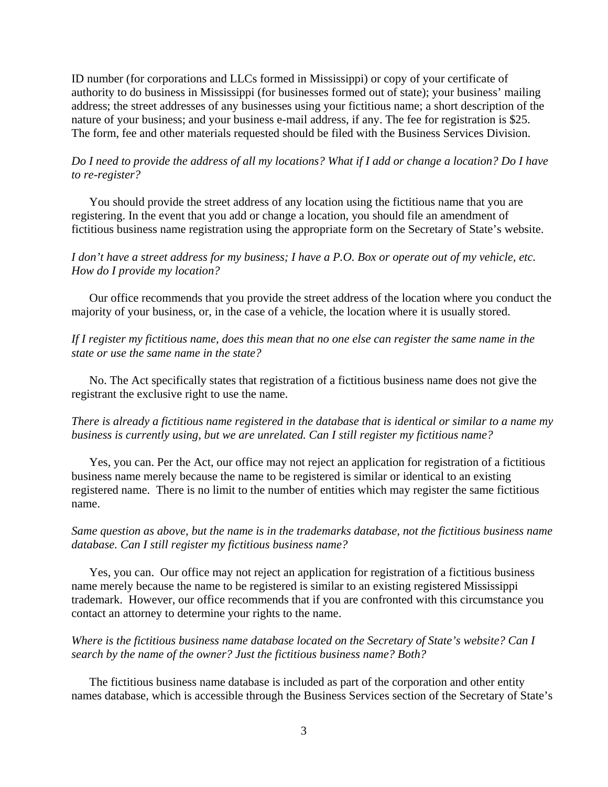ID number (for corporations and LLCs formed in Mississippi) or copy of your certificate of authority to do business in Mississippi (for businesses formed out of state); your business' mailing address; the street addresses of any businesses using your fictitious name; a short description of the nature of your business; and your business e-mail address, if any. The fee for registration is \$25. The form, fee and other materials requested should be filed with the Business Services Division.

## *Do I need to provide the address of all my locations? What if I add or change a location? Do I have to re-register?*

You should provide the street address of any location using the fictitious name that you are registering. In the event that you add or change a location, you should file an amendment of fictitious business name registration using the appropriate form on the Secretary of State's website.

#### *I don't have a street address for my business; I have a P.O. Box or operate out of my vehicle, etc. How do I provide my location?*

Our office recommends that you provide the street address of the location where you conduct the majority of your business, or, in the case of a vehicle, the location where it is usually stored.

## *If I register my fictitious name, does this mean that no one else can register the same name in the state or use the same name in the state?*

No. The Act specifically states that registration of a fictitious business name does not give the registrant the exclusive right to use the name.

#### *There is already a fictitious name registered in the database that is identical or similar to a name my business is currently using, but we are unrelated. Can I still register my fictitious name?*

Yes, you can. Per the Act, our office may not reject an application for registration of a fictitious business name merely because the name to be registered is similar or identical to an existing registered name. There is no limit to the number of entities which may register the same fictitious name.

#### *Same question as above, but the name is in the trademarks database, not the fictitious business name database. Can I still register my fictitious business name?*

Yes, you can. Our office may not reject an application for registration of a fictitious business name merely because the name to be registered is similar to an existing registered Mississippi trademark. However, our office recommends that if you are confronted with this circumstance you contact an attorney to determine your rights to the name.

#### *Where is the fictitious business name database located on the Secretary of State's website? Can I search by the name of the owner? Just the fictitious business name? Both?*

The fictitious business name database is included as part of the corporation and other entity names database, which is accessible through the Business Services section of the Secretary of State's